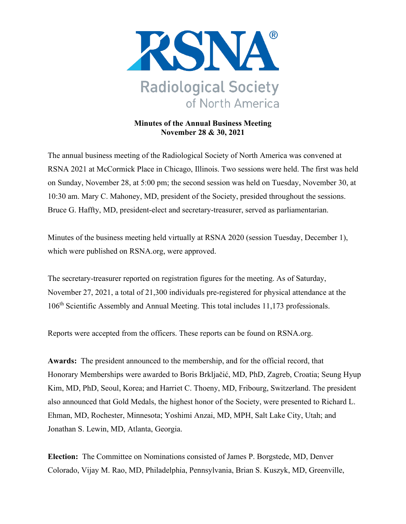

## **Minutes of the Annual Business Meeting November 28 & 30, 2021**

The annual business meeting of the Radiological Society of North America was convened at RSNA 2021 at McCormick Place in Chicago, Illinois. Two sessions were held. The first was held on Sunday, November 28, at 5:00 pm; the second session was held on Tuesday, November 30, at 10:30 am. Mary C. Mahoney, MD, president of the Society, presided throughout the sessions. Bruce G. Haffty, MD, president-elect and secretary-treasurer, served as parliamentarian.

Minutes of the business meeting held virtually at RSNA 2020 (session Tuesday, December 1), which were published on RSNA.org, were approved.

The secretary-treasurer reported on registration figures for the meeting. As of Saturday, November 27, 2021, a total of 21,300 individuals pre-registered for physical attendance at the 106th Scientific Assembly and Annual Meeting. This total includes 11,173 professionals.

Reports were accepted from the officers. These reports can be found on RSNA.org.

**Awards:** The president announced to the membership, and for the official record, that Honorary Memberships were awarded to Boris Brkljačić, MD, PhD, Zagreb, Croatia; Seung Hyup Kim, MD, PhD, Seoul, Korea; and Harriet C. Thoeny, MD, Fribourg, Switzerland. The president also announced that Gold Medals, the highest honor of the Society, were presented to Richard L. Ehman, MD, Rochester, Minnesota; Yoshimi Anzai, MD, MPH, Salt Lake City, Utah; and Jonathan S. Lewin, MD, Atlanta, Georgia.

**Election:** The Committee on Nominations consisted of James P. Borgstede, MD, Denver Colorado, Vijay M. Rao, MD, Philadelphia, Pennsylvania, Brian S. Kuszyk, MD, Greenville,